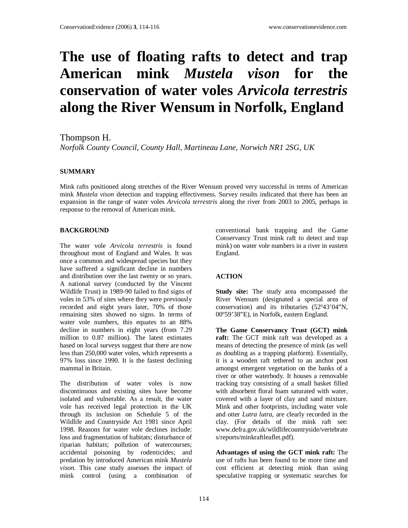# **The use of floating rafts to detect and trap American mink** *Mustela vison* **for the conservation of water voles** *Arvicola terrestris* **along the River Wensum in Norfolk, England**

Thompson H.

*Norfolk County Council, County Hall, Martineau Lane, Norwich NR1 2SG, UK* 

### **SUMMARY**

Mink rafts positioned along stretches of the River Wensum proved very successful in terms of American mink *Mustela vison* detection and trapping effectiveness. Survey results indicated that there has been an expansion in the range of water voles *Arvicola terrestris* along the river from 2003 to 2005, perhaps in response to the removal of American mink.

### **BACKGROUND**

The water vole *Arvicola terrestris* is found throughout most of England and Wales. It was once a common and widespread species but they have suffered a significant decline in numbers and distribution over the last twenty or so years. A national survey (conducted by the Vincent Wildlife Trust) in 1989-90 failed to find signs of voles in 53% of sites where they were previously recorded and eight years later, 70% of those remaining sites showed no signs. In terms of water vole numbers, this equates to an 88% decline in numbers in eight years (from 7.29 million to 0.87 million). The latest estimates based on local surveys suggest that there are now less than 250,000 water voles, which represents a 97% loss since 1990. It is the fastest declining mammal in Britain.

The distribution of water voles is now discontinuous and existing sites have become isolated and vulnerable. As a result, the water vole has received legal protection in the UK through its inclusion on Schedule 5 of the Wildlife and Countryside Act 1981 since April 1998. Reasons for water vole declines include: loss and fragmentation of habitats; disturbance of riparian habitats; pollution of watercourses; accidental poisoning by rodenticides; and predation by introduced American mink *Mustela vison*. This case study assesses the impact of mink control (using a combination of

conventional bank trapping and the Game Conservancy Trust mink raft to detect and trap mink) on water vole numbers in a river in eastern England.

## **ACTION**

**Study site:** The study area encompassed the River Wensum (designated a special area of conservation) and its tributaries (52º43'04"N, 00º59'38"E), in Norfolk, eastern England.

**The Game Conservancy Trust (GCT) mink raft:** The GCT mink raft was developed as a means of detecting the presence of mink (as well as doubling as a trapping platform). Essentially, it is a wooden raft tethered to an anchor post amongst emergent vegetation on the banks of a river or other waterbody. It houses a removable tracking tray consisting of a small basket filled with absorbent floral foam saturated with water, covered with a layer of clay and sand mixture. Mink and other footprints, including water vole and otter *Lutra lutra*, are clearly recorded in the clay. (For details of the mink raft see: www.defra.gov.uk/wildlifecountryside/vertebrate s/reports/minkraftleaflet.pdf).

**Advantages of using the GCT mink raft:** The use of rafts has been found to be more time and cost efficient at detecting mink than using speculative trapping or systematic searches for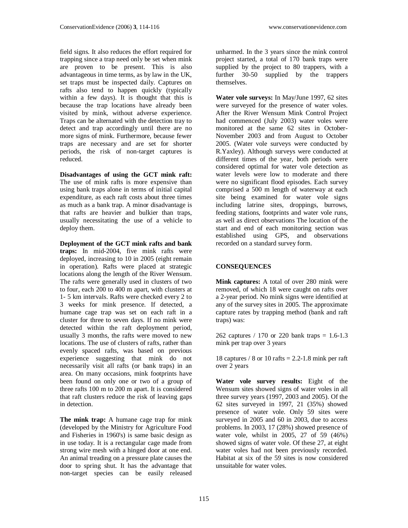field signs. It also reduces the effort required for trapping since a trap need only be set when mink are proven to be present. This is also advantageous in time terms, as by law in the UK, set traps must be inspected daily. Captures on rafts also tend to happen quickly (typically within a few days). It is thought that this is because the trap locations have already been visited by mink, without adverse experience. Traps can be alternated with the detection tray to detect and trap accordingly until there are no more signs of mink. Furthermore, because fewer traps are necessary and are set for shorter periods, the risk of non-target captures is reduced.

**Disadvantages of using the GCT mink raft:** The use of mink rafts is more expensive than using bank traps alone in terms of initial capital expenditure, as each raft costs about three times as much as a bank trap. A minor disadvantage is that rafts are heavier and bulkier than traps, usually necessitating the use of a vehicle to deploy them.

**Deployment of the GCT mink rafts and bank traps:** In mid-2004, five mink rafts were deployed, increasing to 10 in 2005 (eight remain in operation). Rafts were placed at strategic locations along the length of the River Wensum. The rafts were generally used in clusters of two to four, each 200 to 400 m apart, with clusters at 1- 5 km intervals. Rafts were checked every 2 to 3 weeks for mink presence. If detected, a humane cage trap was set on each raft in a cluster for three to seven days. If no mink were detected within the raft deployment period, usually 3 months, the rafts were moved to new locations. The use of clusters of rafts, rather than evenly spaced rafts, was based on previous experience suggesting that mink do not necessarily visit all rafts (or bank traps) in an area. On many occasions, mink footprints have been found on only one or two of a group of three rafts 100 m to 200 m apart. It is considered that raft clusters reduce the risk of leaving gaps in detection.

**The mink trap:** A humane cage trap for mink (developed by the Ministry for Agriculture Food and Fisheries in 1960's) is same basic design as in use today. It is a rectangular cage made from strong wire mesh with a hinged door at one end. An animal treading on a pressure plate causes the door to spring shut. It has the advantage that non-target species can be easily released

unharmed. In the 3 years since the mink control project started, a total of 170 bank traps were supplied by the project to 80 trappers, with a further 30-50 supplied by the trappers themselves.

**Water vole surveys:** In May/June 1997, 62 sites were surveyed for the presence of water voles. After the River Wensum Mink Control Project had commenced (July 2003) water voles were monitored at the same 62 sites in October-November 2003 and from August to October 2005. (Water vole surveys were conducted by R.Yaxley). Although surveys were conducted at different times of the year, both periods were considered optimal for water vole detection as water levels were low to moderate and there were no significant flood episodes. Each survey comprised a 500 m length of waterway at each site being examined for water vole signs including latrine sites, droppings, burrows, feeding stations, footprints and water vole runs, as well as direct observations The location of the start and end of each monitoring section was established using GPS, and observations recorded on a standard survey form.

#### **CONSEQUENCES**

**Mink captures:** A total of over 280 mink were removed, of which 18 were caught on rafts over a 2-year period. No mink signs were identified at any of the survey sites in 2005. The approximate capture rates by trapping method (bank and raft traps) was:

262 captures / 170 or 220 bank traps = 1.6-1.3 mink per trap over 3 years

18 captures / 8 or 10 rafts  $= 2.2 - 1.8$  mink per raft over 2 years

**Water vole survey results:** Eight of the Wensum sites showed signs of water voles in all three survey years (1997, 2003 and 2005). Of the 62 sites surveyed in 1997, 21 (35%) showed presence of water vole. Only 59 sites were surveyed in 2005 and 60 in 2003, due to access problems. In 2003, 17 (28%) showed presence of water vole, whilst in 2005, 27 of 59 (46%) showed signs of water vole. Of these 27, at eight water voles had not been previously recorded. Habitat at six of the 59 sites is now considered unsuitable for water voles.